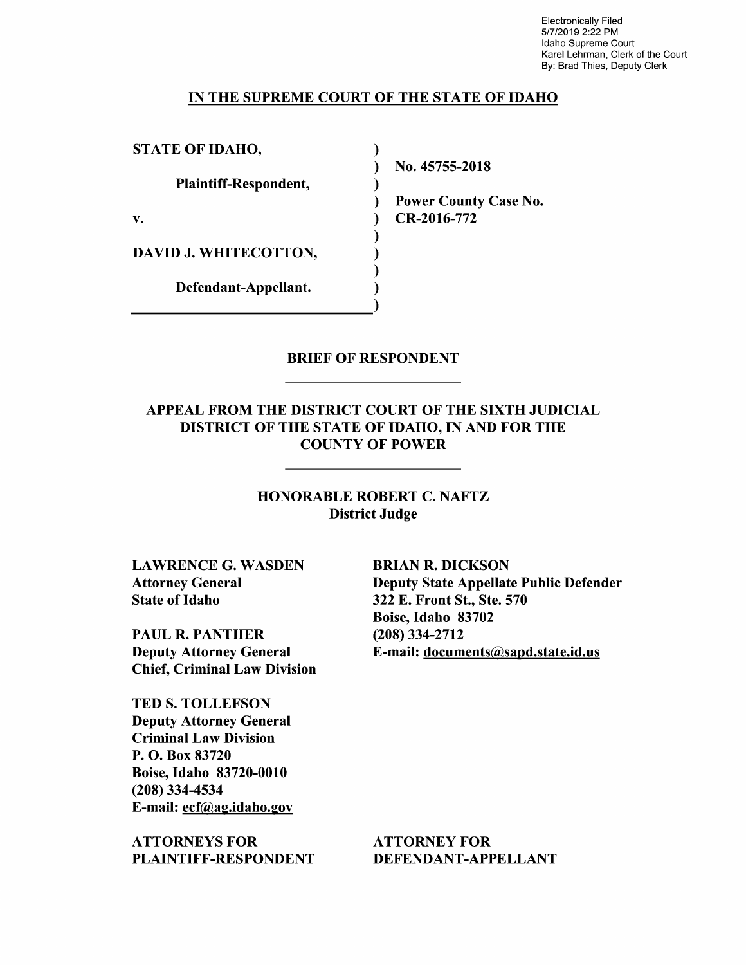Electronically Filed 5/7/2019 2:22 PM Idaho Supreme Court Karel Lehrman, Clerk of the Court By: Brad Thies, Deputy Clerk

### IN THE SUPREME COURT OF THE STATE OF IDAHO

STATE OF IDAHO,  $\mathcal{L}$  $\lambda$ Plaintiff—Respondent,  $\mathcal{E}$  $\lambda$ v. (a) CR-2016-772  $\mathcal{E}$ DAVID J. WHITECOTTON,  $\mathcal{E}$  $\lambda$ Defendant—Appellant. ſ

N0. 45755-2018

Power County Case N0.

### BRIEF OF RESPONDENT

APPEAL FROM THE DISTRICT COURT OF THE SIXTH JUDICIAL DISTRICT OF THE STATE OF IDAHO, IN AND FOR THE COUNTY OF POWER

> HONORABLE ROBERT C. NAFTZ District Judge

LAWRENCE G. WASDEN BRIAN R. DICKSON State of Idaho 322 E. Front St., Ste. 570

PAUL R. PANTHER (208) 334-2712 Chief, Criminal Law Division

TED S. TOLLEFSON Deputy Attorney General Criminal Law Division P. O. Box 83720 Boise, Idaho 83720-0010 (208) 334-4534 E-mail: ecf@ag.idaho.gov

ATTORNEYS FOR ATTORNEY FOR PLAINTIFF-RESPONDENT DEFENDANT-APPELLANT

Attorney General Deputy State Appellate Public Defender Boise, Idaho 83702 Deputy Attorney General E-mail: documents@sapd.state.id.us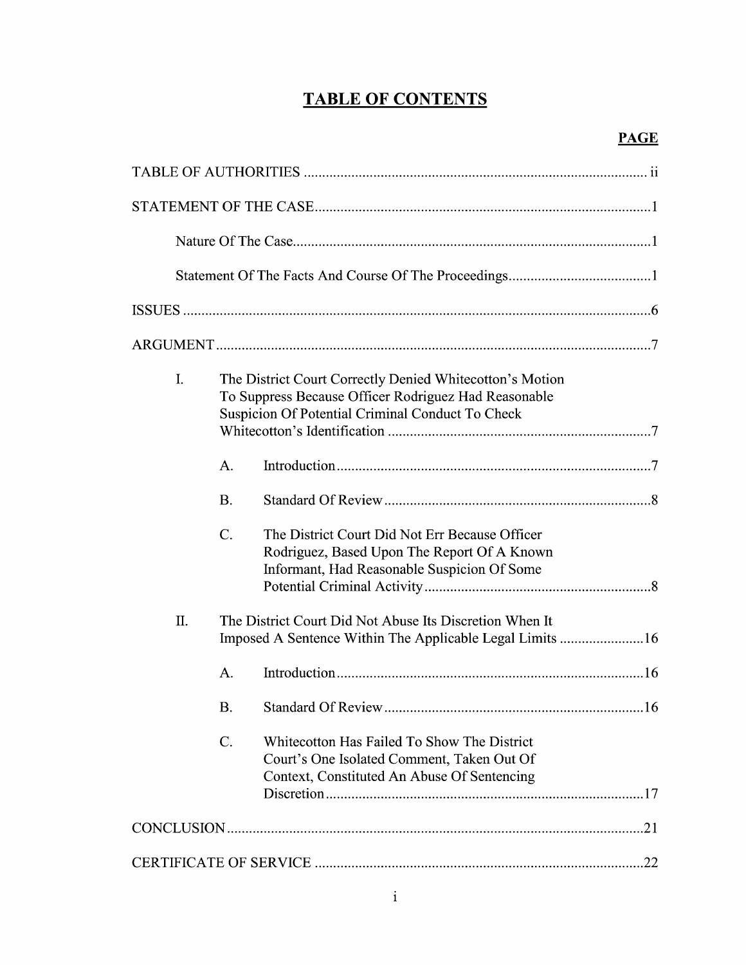# TABLE OF CONTENTS

| I. | The District Court Correctly Denied Whitecotton's Motion<br>To Suppress Because Officer Rodriguez Had Reasonable<br>Suspicion Of Potential Criminal Conduct To Check |                                                                                                                                              |  |  |
|----|----------------------------------------------------------------------------------------------------------------------------------------------------------------------|----------------------------------------------------------------------------------------------------------------------------------------------|--|--|
|    | A.                                                                                                                                                                   |                                                                                                                                              |  |  |
|    | <b>B.</b>                                                                                                                                                            |                                                                                                                                              |  |  |
|    | $\mathcal{C}$ .                                                                                                                                                      | The District Court Did Not Err Because Officer<br>Rodriguez, Based Upon The Report Of A Known<br>Informant, Had Reasonable Suspicion Of Some |  |  |
| Π. |                                                                                                                                                                      | The District Court Did Not Abuse Its Discretion When It<br>Imposed A Sentence Within The Applicable Legal Limits 16                          |  |  |
|    | A.                                                                                                                                                                   |                                                                                                                                              |  |  |
|    | <b>B.</b>                                                                                                                                                            | $\sim$                                                                                                                                       |  |  |
|    | C.                                                                                                                                                                   | Whitecotton Has Failed To Show The District<br>Court's One Isolated Comment, Taken Out Of<br>Context, Constituted An Abuse Of Sentencing     |  |  |
|    |                                                                                                                                                                      |                                                                                                                                              |  |  |
|    |                                                                                                                                                                      |                                                                                                                                              |  |  |
|    |                                                                                                                                                                      |                                                                                                                                              |  |  |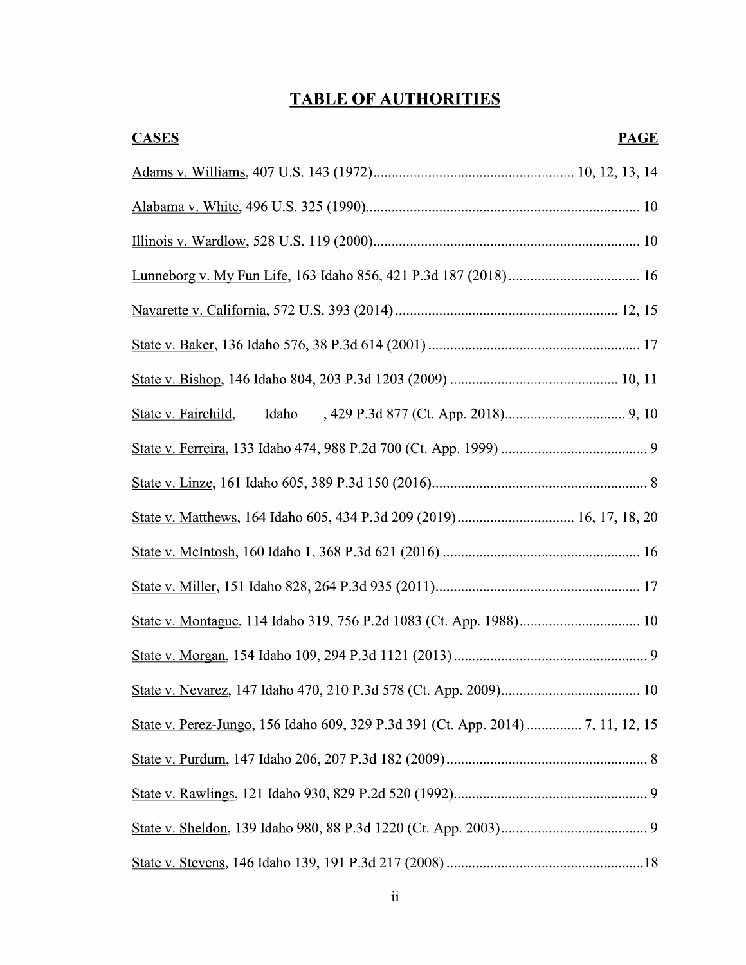# TABLE OF AUTHORITIES

| <b>CASES</b><br><b>PAGE</b> |
|-----------------------------|
|                             |
|                             |
|                             |
|                             |
|                             |
|                             |
|                             |
|                             |
|                             |
|                             |
|                             |
|                             |
|                             |
|                             |
|                             |
|                             |
|                             |
|                             |
|                             |
|                             |
|                             |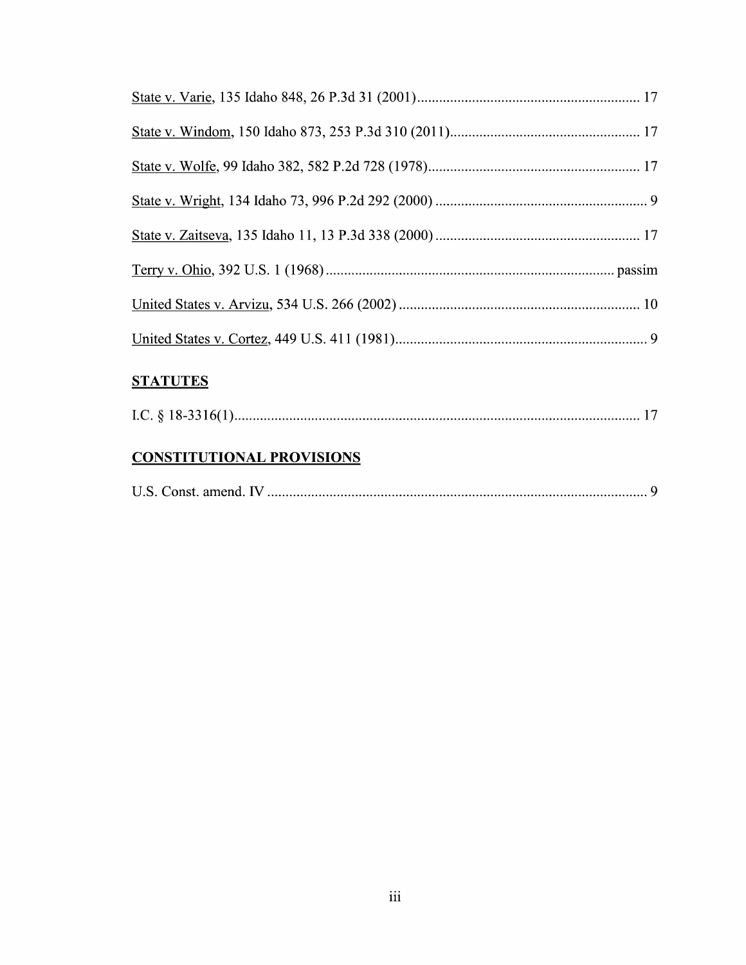# **STATUTES**

|--|--|

## CONSTITUTIONAL PROVISIONS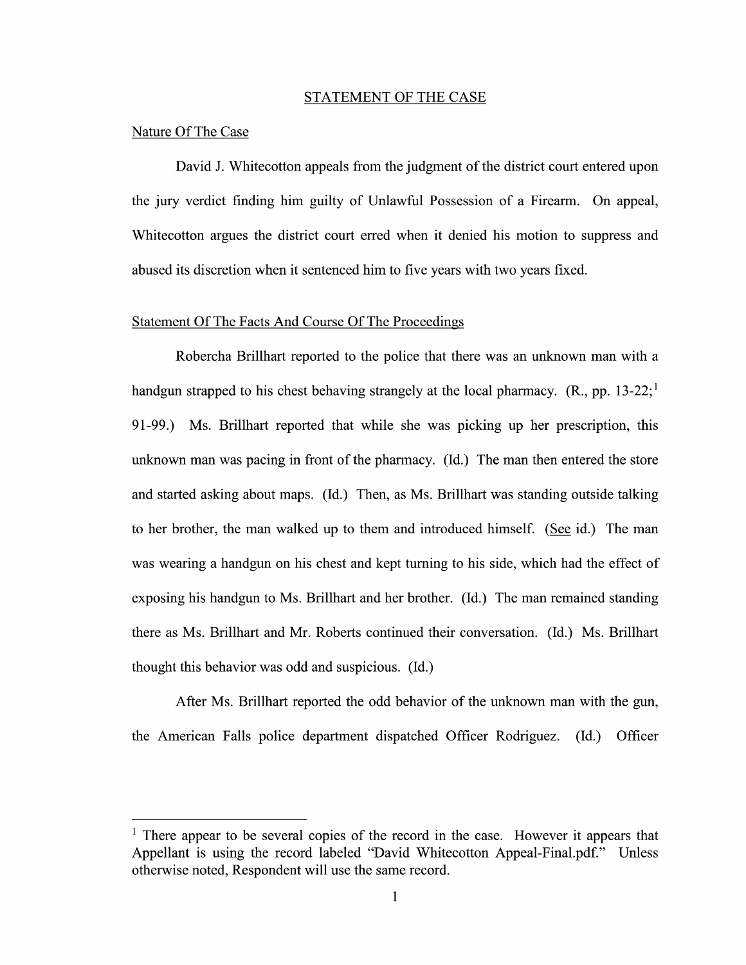#### STATEMENT OF THE CASE

#### Nature Of The Case

David J. Whitecotton appeals from the judgment of the district court entered upon the jury verdict finding him guilty of Unlawful Possession of a Firearm. On appeal, Whitecotton argues the district court erred when it denied his motion to suppress and abused its discretion when it sentenced him to five years with two years fixed.

### Statement Of The Facts And Course Of The Proceedings

Robercha Brillhart reported to the police that there was an unknown man with handgun strapped to his chest behaving strangely at the local pharmacy.  $(R_n, pp. 13-22;$ <sup>1</sup> 91-99.) Ms. Brillhart reported that While she was picking up her prescription, this unknown man was pacing in front 0f the pharmacy. (Id.) The man then entered the store and started asking about maps. (Id.) Then, as Ms. Brillhart was standing outside talking to her brother, the man walked up to them and introduced himself. (See id.) The man was wearing a handgun on his chest and kept turning to his side, which had the effect of exposing his handgun to Ms. Brillhart and her brother. (Id.) The man remained standing there as Ms. Brillhart and Mr. Roberts continued their conversation. (Id.) Ms. Brillhart thought this behavior was odd and suspicious. (Id.)

After Ms. Brillhart reported the odd behavior of the unknown man with the gun, the American Falls police department dispatched Officer Rodriguez. (Id.) Officer

<sup>&</sup>lt;sup>1</sup> There appear to be several copies of the record in the case. However it appears that Appellant is using the record labeled "David Whitecotton Appeal-Final.pdf." Unless otherwise noted, Respondent will use the same record.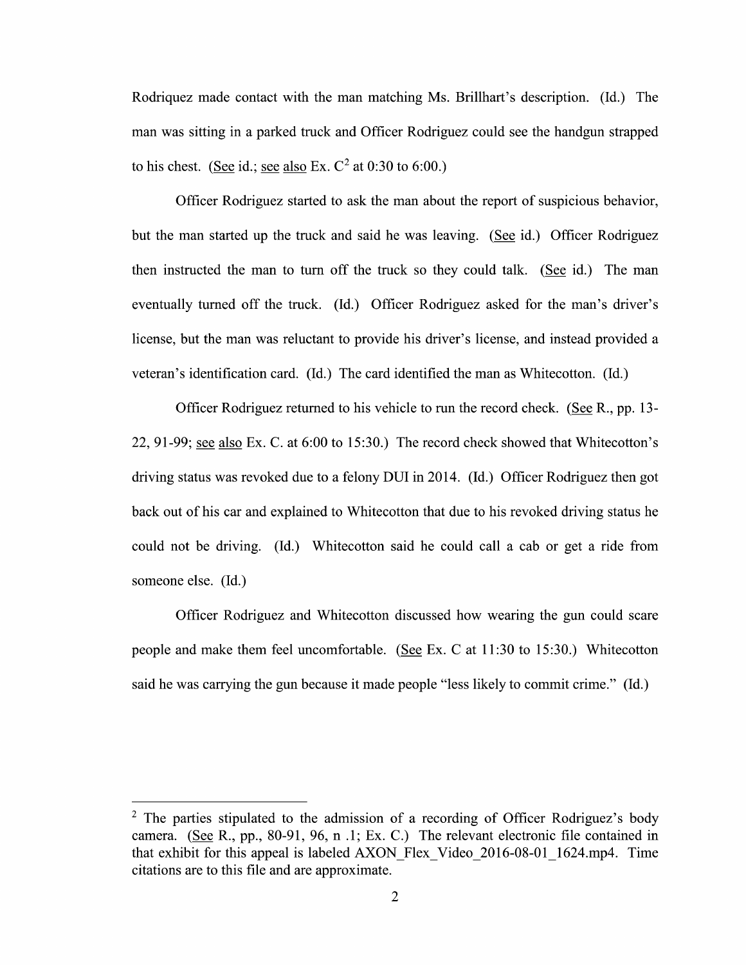Rodriquez made contact with the man matching Ms. Brillhart's description. (Id.) The man was sitting in parked truck and Officer Rodriguez could see the handgun strapped to his chest. (See id.; see also Ex.  $C^2$  at 0:30 to 6:00.)

Officer Rodriguez started to ask the man about the report of suspicious behavior, but the man started up the truck and said he was leaving. (See id.) Officer Rodriguez then instructed the man to turn off the truck so they could talk. (See id.) The man eventually turned off the truck. (Id.) Officer Rodriguez asked for the man's driver's license, but the man was reluctant to provide his driver's license, and instead provided veteran's identification card. (Id.) The card identified the man as Whitecotton. (Id.)

Officer Rodriguez returned to his vehicle to run the record check. (See R., pp. 13-22, 91-99; see also Ex. C. at  $6:00$  to 15:30.) The record check showed that Whitecotton's driving status was revoked due to a felony DUI in 2014. (Id.) Officer Rodriguez then got back out of his car and explained to Whitecotton that due to his revoked driving status he could not be driving. (Id.) Whitecotton said he could call a cab or get a ride from someone else. (Id.)

Officer Rodriguez and Whitecotton discussed how wearing the gun could scare people and make them feel uncomfortable. (See Ex. C at  $11:30$  to  $15:30$ .) Whitecotton said he was carrying the gun because it made people "less likely to commit crime." (Id.)

 $2$  The parties stipulated to the admission of a recording of Officer Rodriguez's body camera. (See R., pp., 80-91, 96, n .1; Ex. C.) The relevant electronic file contained in that exhibit for this appeal is labeled AXON Flex Video 2016-08-01 1624.mp4. Time citations are to this file and are approximate.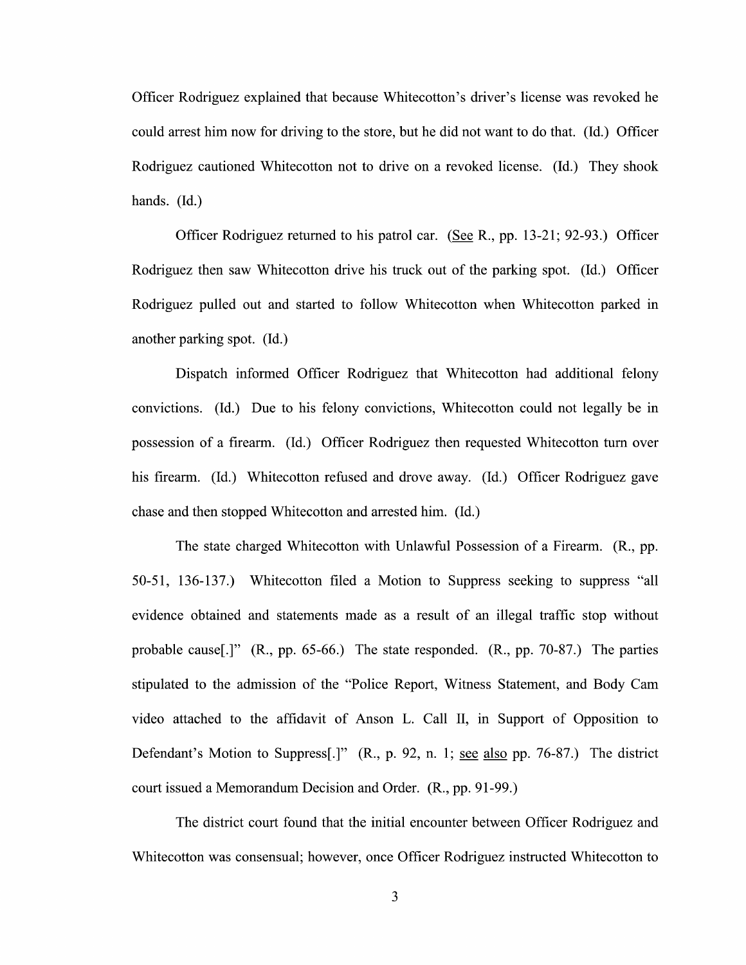Officer Rodriguez explained that because Whitecotton's driver's license was revoked he could arrest him now for driving to the store, but he did not want to do that. (Id.) Officer Rodriguez cautioned Whitecotton not to drive on a revoked license. (Id.) They shook hands. (Id.)

Officer Rodriguez returned to his patrol car. (See R., pp. 13-21; 92-93.) Officer Rodriguez then saw Whitecotton drive his truck out of the parking spot. (Id.) Officer Rodriguez pulled out and started to follow Whitecotton when Whitecotton parked in another parking spot. (Id.)

Dispatch informed Officer Rodriguez that Whitecotton had additional felony convictions. (Id.) Due t0 his felony convictions, Whitecotton could not legally be in possession of a firearm. (Id.) Officer Rodriguez then requested Whitecotton turn over his firearm. (Id.) Whitecotton refused and drove away. (Id.) Officer Rodriguez gave chase and then stopped Whitecotton and arrested him. (Id.)

The state charged Whitecotton with Unlawful Possession of a Firearm.  $(R_{.}, pp.$ 50-51, 136-137.) Whitecotton filed a Motion to Suppress seeking to suppress "all evidence obtained and statements made as a result of an illegal traffic stop without probable cause[.]" (R., pp. 65-66.) The state responded. (R., pp. 70-87.) The parties stipulated t0 the admission 0f the "Police Report, Witness Statement, and Body Cam Video attached t0 the affidavit 0f Anson L. Call II, in Support of Opposition to Defendant's Motion to Suppress[.]"  $(R., p. 92, n. 1;$  see also pp. 76-87.) The district court issued a Memorandum Decision and Order. (R., pp. 91-99.)

The district court found that the initial encounter between Officer Rodriguez and Whitecotton was consensual; however, once Officer Rodriguez instructed Whitecotton to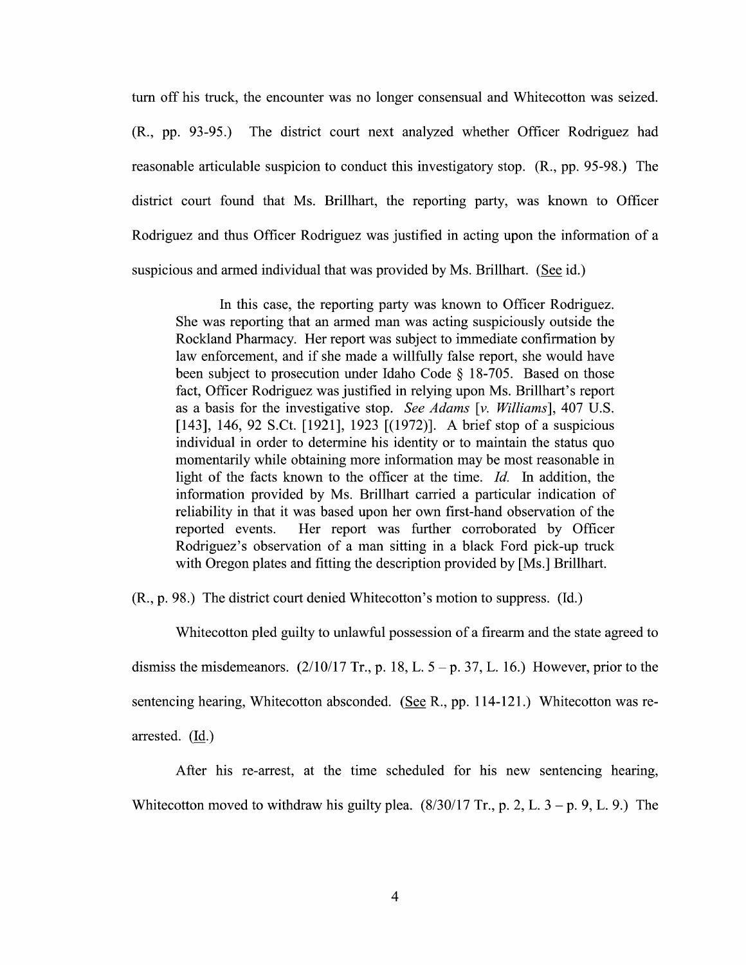turn off his truck, the encounter was n0 longer consensual and Whitecotton was seized. (R., pp. 93-95.) The district court next analyzed whether Officer Rodriguez had reasonable articulable suspicion to conduct this investigatory stop. (R., pp. 95-98.) The district court found that Ms. Brillhart, the reporting party, was known to Officer Rodriguez and thus Officer Rodriguez was justified in acting upon the information of a suspicious and armed individual that was provided by Ms. Brillhart. (See id.)

In this case, the reporting party was known to Officer Rodriguez. She was reporting that an armed man was acting suspiciously outside the Rockland Pharmacy. Her report was subject to immediate confirmation by law enforcement, and if she made a willfully false report, she would have been subject to prosecution under Idaho Code  $\S$  18-705. Based on those fact, Officer Rodriguez was justified in relying upon Ms. Brillhart's report as basis for the investigative stop. See Adams [v. Williams], 407 U.S. [143], 146, 92 S.Ct. [1921], 1923 [(1972)]. A brief stop of a suspicious individual in order to determine his identity or to maintain the status quo momentarily while obtaining more information may be most reasonable in light of the facts known to the officer at the time. Id. In addition, the information provided by Ms. Brillhart carried a particular indication of reliability in that it was based upon her own first-hand observation of the reported events. Her report was further corroborated by Officer Rodriguez's observation of a man sitting in a black Ford pick-up truck with Oregon plates and fitting the description provided by [Ms.] Brillhart.

(R., p. 98.) The district court denied Whitecotton's motion to suppress. (Id.)

Whitecotton pled guilty to unlawful possession of a firearm and the state agreed to dismiss the misdemeanors.  $(2/10/17 \text{ Tr}$ , p. 18, L. 5 – p. 37, L. 16.) However, prior to the sentencing hearing, Whitecotton absconded. (See R., pp. 114-121.) Whitecotton was rearrested. (Id.)

After his re-arrest, at the time scheduled for his new sentencing hearing, Whitecotton moved to withdraw his guilty plea.  $(8/30/17 \text{ Tr}$ , p. 2, L.  $3 - p$ , 9, L. 9.) The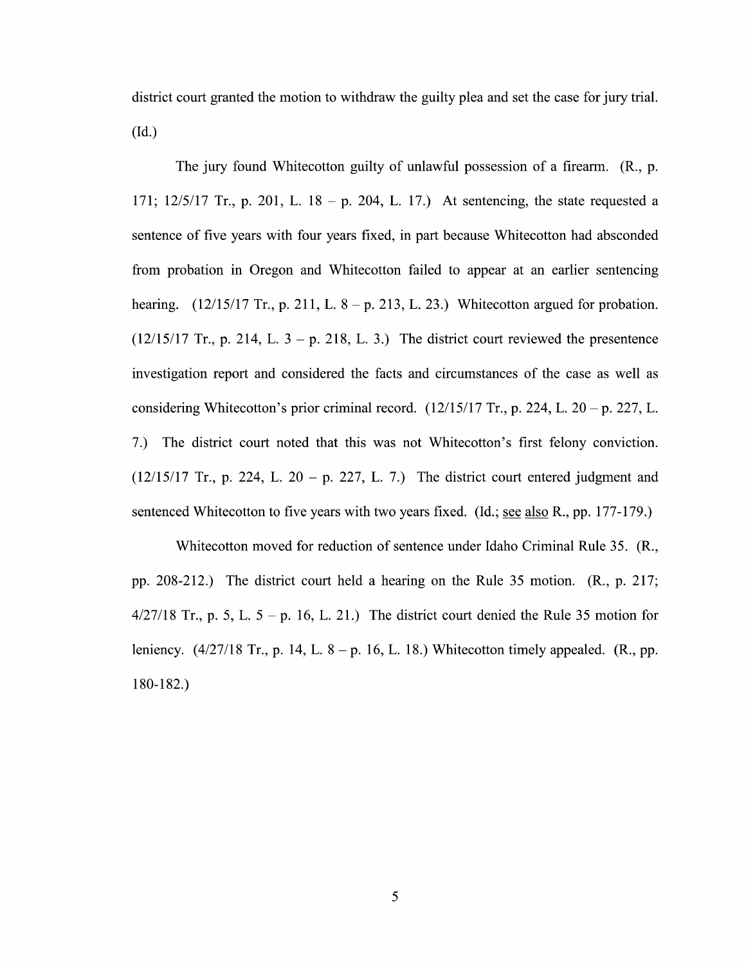district court granted the motion to withdraw the guilty plea and set the case for jury trial. (Id.)

The jury found Whitecotton guilty of unlawful possession of a firearm.  $(R_1, p_2)$ . 171;  $12/5/17$  Tr., p. 201, L. 18 – p. 204, L. 17.) At sentencing, the state requested a sentence of five years with four years fixed, in part because Whitecotton had absconded from probation in Oregon and Whitecotton failed to appear at an earlier sentencing hearing.  $(12/15/17 \text{ Tr.}, p. 211, L. 8-p. 213, L. 23.)$  Whitecotton argued for probation.  $(12/15/17$  Tr., p. 214, L. 3 – p. 218, L. 3.) The district court reviewed the presentence investigation report and considered the facts and circumstances of the case as well as considering Whitecotton's prior criminal record.  $(12/15/17 \text{ Tr}$ , p. 224, L. 20 – p. 227, L. 7.) The district court noted that this was not Whitecotton's first felony conviction.  $(12/15/17$  Tr., p. 224, L. 20 – p. 227, L. 7.) The district court entered judgment and sentenced Whitecotton to five years with two years fixed. (Id.; see also R., pp. 177-179.)

Whitecotton moved for reduction of sentence under Idaho Criminal Rule 35. (R., pp. 208-212.) The district court held a hearing on the Rule 35 motion.  $(R_1, p. 217;$  $4/27/18$  Tr., p. 5, L. 5 – p. 16, L. 21.) The district court denied the Rule 35 motion for leniency.  $(4/27/18 \text{ Tr.}, p. 14, L. 8 - p. 16, L. 18.)$  Whitecotton timely appealed.  $(R., pp. 16, L. 18.)$ 180—182.)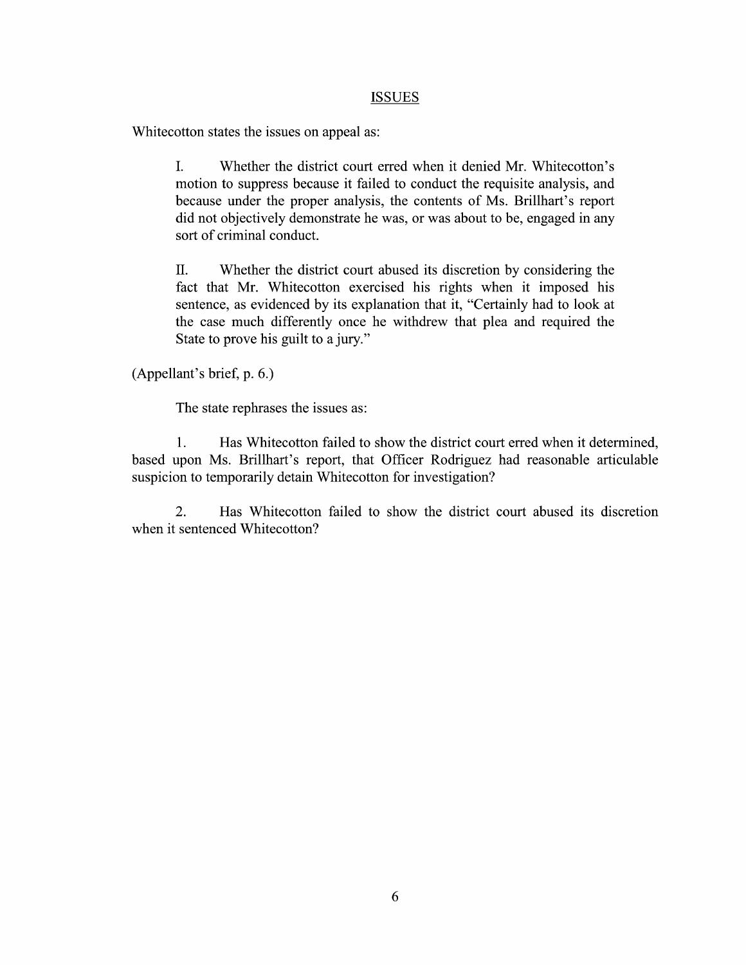#### ISSUES

Whitecotton states the issues on appeal as:

I. Whether the district court erred When it denied Mr. Whitecotton's motion to suppress because it failed to conduct the requisite analysis, and because under the proper analysis, the contents of Ms. Brillhart's report did not objectively demonstrate he was, or was about to be, engaged in any sort of criminal conduct.

II. Whether the district court abused its discretion by considering the fact that Mr. Whitecotton exercised his rights when it imposed his sentence, as evidenced by its explanation that it, "Certainly had to look at the case much differently once he withdrew that plea and required the State to sentence, as evidenced by its explanation that it, "Certainly had to look at State to prove his guilt to a jury."

(Appellant's brief, p. 6.)

The state rephrases the issues as:

1. Has Whitecotton failed to show the district court erred when it determined, based upon Ms. Brillhart's report, that Officer Rodriguez had reasonable articulable suspicion to temporarily detain Whitecotton for investigation?

2. Has Whitecotton failed to show the district court abused its discretion when it sentenced Whitecotton?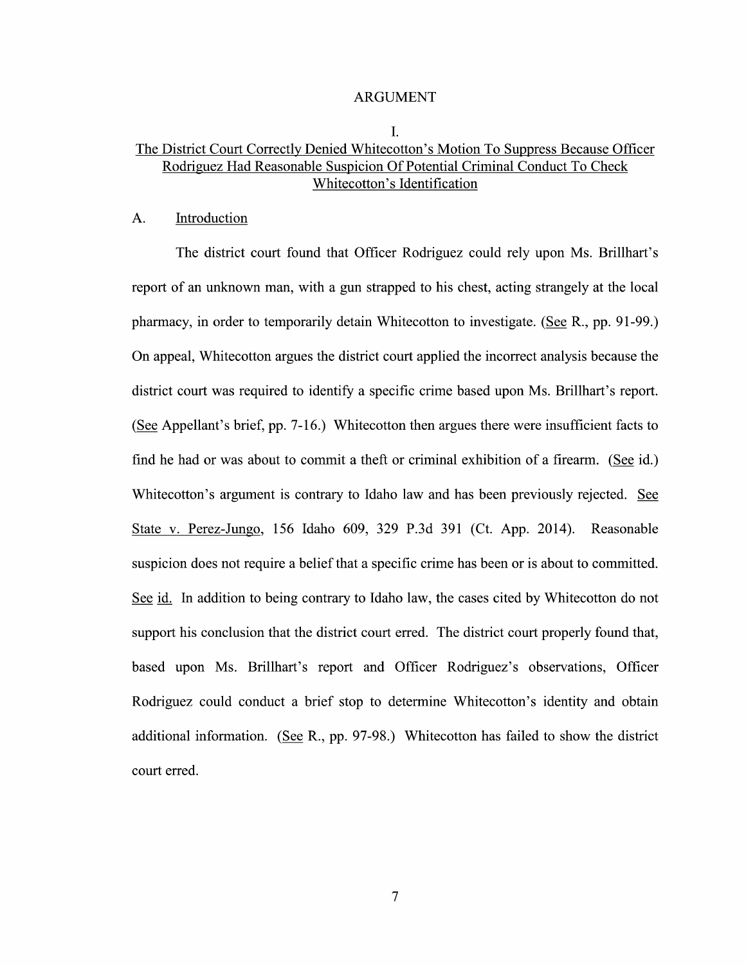#### ARGUMENT

#### I.

### The District Court Correctly Denied Whitecotton's Motion To Suppress Because Officer Rodriguez Had Reasonable Suspicion Of Potential Criminal Conduct To Check Whitecotton's Identification

#### A. Introduction

The district court found that Officer Rodriguez could rely upon Ms. Brillhart's<br>report of an unknown man, with a gun strapped to his chest, acting strangely at the local pharmacy, in order to temporarily detain Whitecotton to investigate. (See R., pp. 91-99.) On appeal, Whitecotton argues the district court applied the incorrect analysis because the district court was required to identify a specific crime based upon Ms. Brillhart's report. (See Appellant's brief, pp. 7-16.) Whitecotton then argues there were insufficient facts to find he had or was about to commit a theft or criminal exhibition of a firearm. (See id.) Whitecotton's argument is contrary to Idaho law and has been previously rejected. See State V. Perez-Jungo, 156 Idaho 609, 329 P.3d 391 (Ct. App. 2014). Reasonable suspicion does not require a belief that a specific crime has been or is about to committed. See id. In addition to being contrary to Idaho law, the cases cited by Whitecotton do not support his conclusion that the district court erred. The district court properly found that, based upon Ms. Brillhart's report and Officer Rodriguez's observations, Officer Rodriguez could conduct a brief stop to determine Whitecotton's identity and obtain additional information. (See R., pp. 97-98.) Whitecotton has failed to show the district court erred.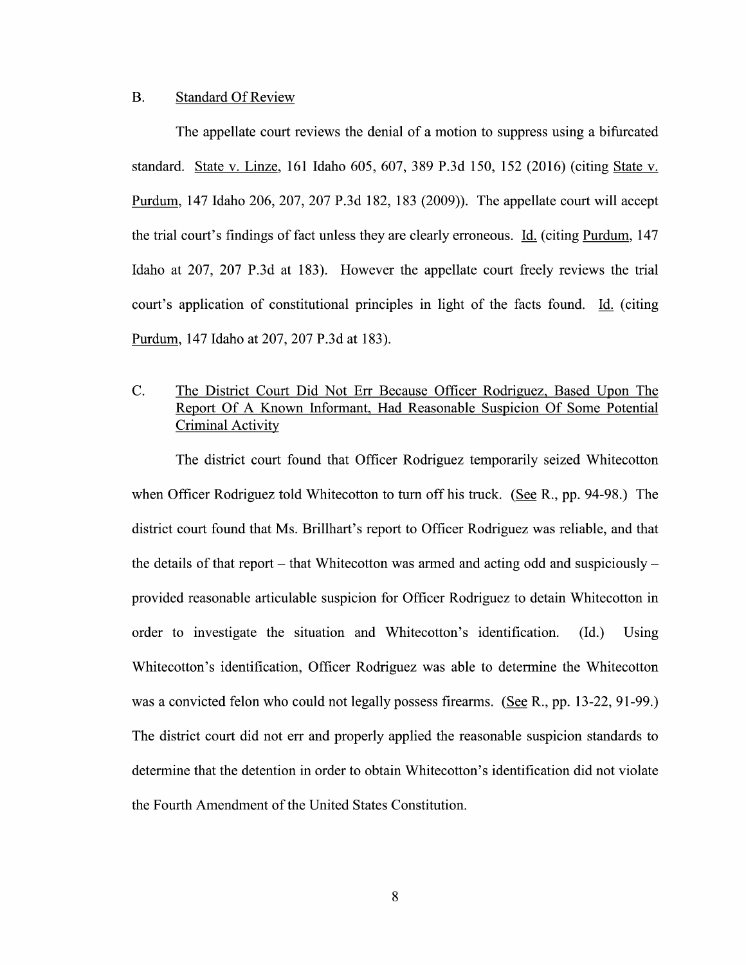### B. Standard Of Review

The appellate court reviews the denial of a motion to suppress using a bifurcated standard. State v. Linze, 161 Idaho 605, 607, 389 P.3d 150, 152 (2016) (citing State v. Purdum, 147 Idaho 206, 207, 207 P.3d 182, 183 (2009)). The appellate court will accept the trial court's findings of fact unless they are clearly erroneous. Id. (citing Purdum, 147 Idaho at 207, 207 P.3d at 183). However the appellate court freely reviews the trial court's application of constitutional principles in light of the facts found. Id. (citing Purdum, 147 Idaho at 207, 207 P.3d at 183).

### C. The District Court Did Not Err Because Officer Rodriguez, Based Upon The Report Of Known Informant, Had Reasonable Suspicion Of Some Potential Criminal Activity

The district court found that Officer Rodriguez temporarily seized Whitecotton when Officer Rodriguez told Whitecotton to turn off his truck. (See R., pp. 94-98.) The district court found that Ms. Brillhart's report t0 Officer Rodriguez was reliable, and that the details of that report – that Whitecotton was armed and acting odd and suspiciously – provided reasonable articulable suspicion for Officer Rodriguez to detain Whitecotton in order to investigate the situation and Whitecotton's identification. (Id.) Using Whitecotton's identification, Officer Rodriguez was able to determine the Whitecotton was a convicted felon who could not legally possess firearms. (See R., pp. 13-22, 91-99.) The district court did not err and properly applied the reasonable suspicion standards to determine that the detention in order to obtain Whitecotton's identification did not violate the Fourth Amendment 0f the United States Constitution.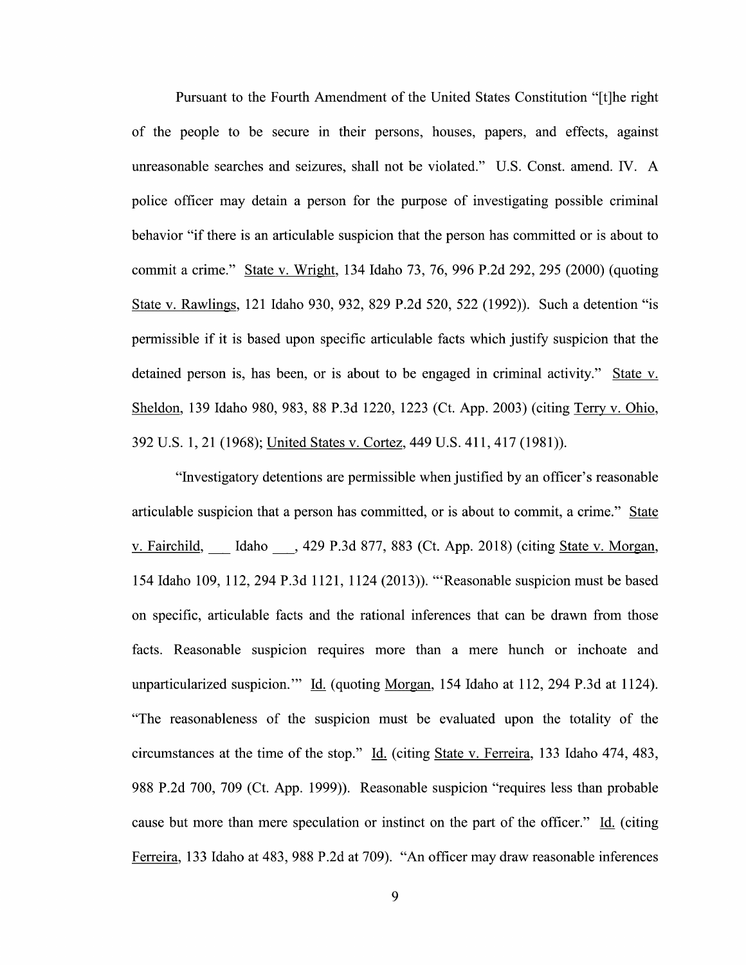Pursuant to the Fourth Amendment 0f the United States Constitution "[t]he right 0f the people to be secure in their persons, houses, papers, and effects, against unreasonable searches and seizures, shall not be violated." U.S. Const. amend. IV. police officer may detain a person for the purpose of investigating possible criminal behavior "if there is an articulable suspicion that the person has committed 0r is about to commit a crime." State v. Wright, 134 Idaho 73, 76, 996 P.2d 292, 295 (2000) (quoting State v. Rawlings, 121 Idaho 930, 932, 829 P.2d 520, 522 (1992)). Such a detention "is permissible if it is based upon specific articulable facts which justify suspicion that the detained person is, has been, or is about to be engaged in criminal activity." State  $v$ . Sheldon, 139 Idaho 980, 983, 88 P.3d 1220, 1223 (Ct. App. 2003) (citing Terry v. Ohio, 392 U.S. 1, 21 (1968); United States v. Cortez, 449 U.S. 411, 417 (1981)).

"Investigatory detentions are permissible when justified by an officer's reasonable articulable suspicion that a person has committed, or is about to commit, a crime." State v. Fairchild, Idaho , 429 P.3d 877, 883 (Ct. App. 2018) (citing State v. Morgan, 154 Idaho 109, 112, 294 P.3d 1121, 1124 (2013)). "'Reasonable suspicion must be based on specific, articulable facts and the rational inferences that can be drawn from those facts. Reasonable suspicion requires more than a mere hunch or inchoate and unparticularized suspicion." Id. (quoting Morgan, 154 Idaho at 112, 294 P.3d at 1124). "The reasonableness of the suspicion must be evaluated upon the totality of the circumstances at the time of the stop." Id. (citing State v. Ferreira, 133 Idaho 474, 483, 988 P.2d 700, 709 (Ct. App. 1999)). Reasonable suspicion "requires less than probable cause but more than mere speculation or instinct on the part of the officer." Id. (citing Ferreira, <sup>133</sup> Idaho at 483, <sup>988</sup> P.2d at 709). "An officer may draw reasonable inferences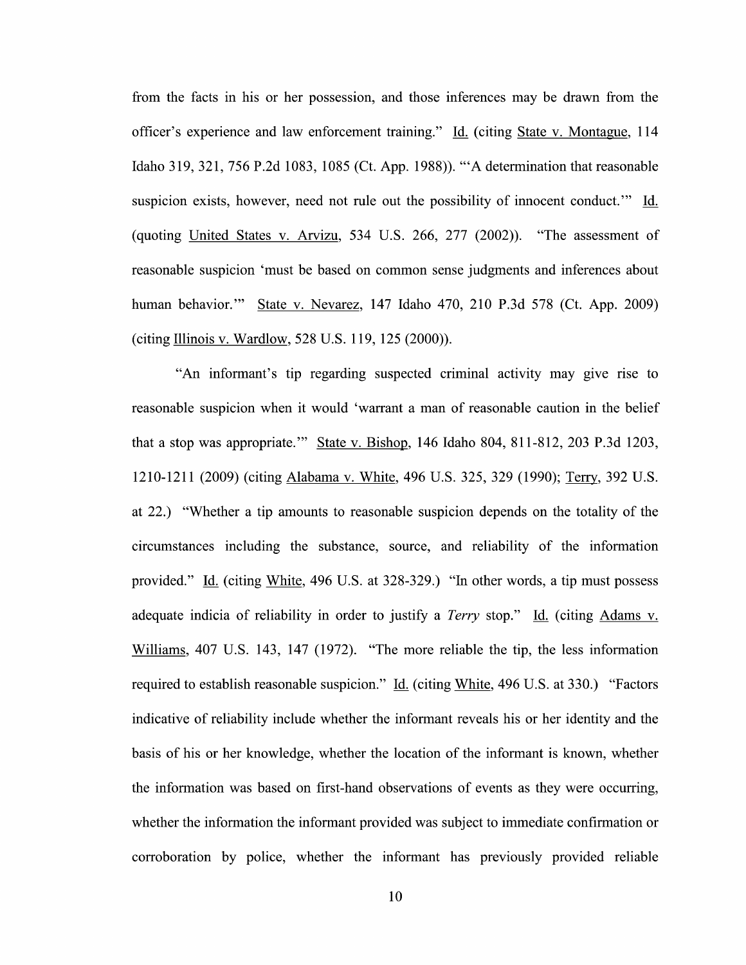from the facts in his or her possession, and those inferences may be drawn from the officer's experience and law enforcement training." Id. (citing State v. Montague, 114 Idaho 319, 321, 756 P.2d 1083, <sup>1085</sup> (Ct. App. 1988)). "'A determination that reasonable suspicion exists, however, need not rule out the possibility of innocent conduct." Id. (quoting United States v. Arvizu,  $534$  U.S. 266, 277 (2002)). "The assessment of reasonable suspicion 'must be based 0n common sense judgments and inferences about human behavior." State V. Nevarez, 147 Idaho 470, 210 P.3d 578 (Ct. App. 2009) (citing Illinois V. Wardlow, 528 U.S. 119, 125 (2000)).

"An informant's tip regarding suspected criminal activity may give rise t0 reasonable suspicion when it would 'warrant a man of reasonable caution in the belief that a stop was appropriate." State v. Bishop, 146 Idaho 804, 811-812, 203 P.3d 1203, 1210-1211 (2009) (citing Alabama v. White, 496 U.S. 325, 329 (1990); Terry, 392 U.S. at 22.) "Whether a tip amounts to reasonable suspicion depends on the totality of the circumstances including the substance, source, and reliability of the information provided." Id. (citing White, 496 U.S. at 328-329.) "In other words, a tip must possess adequate indicia of reliability in order to justify a *Terry* stop." Id. (citing Adams v. Williams, 407 U.S. 143, 147 (1972). "The more reliable the tip, the less information required to establish reasonable suspicion." Id. (citing White, 496 U.S. at 330.) "Factors indicative 0f reliability include Whether the informant reveals his 0r her identity and the basis of his or her knowledge, whether the location of the informant is known, whether the information was based on first-hand observations of events as they were occurring, whether the information the informant provided was subject to immediate confirmation or corroboration by police, whether the informant has previously provided reliable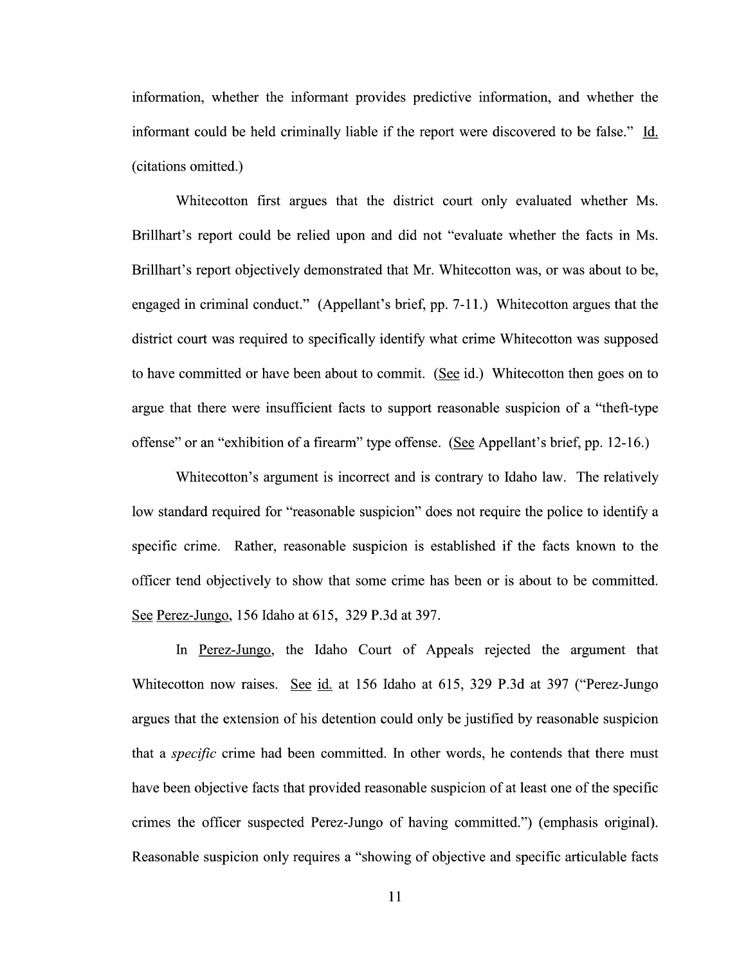information, Whether the informant provides predictive information, and Whether the informant could be held criminally liable if the report were discovered to be false." Li. (citations omitted.)

Whitecotton first argues that the district court only evaluated Whether Ms. Brillhart's report could be relied upon and did not "evaluate whether the facts in Ms. Brillhart's report objectively demonstrated that Mr. Whitecotton was, or was about to be, engaged in criminal conduct." (Appellant's brief, pp. 7-11.) Whitecotton argues that the district court was required t0 specifically identify what crime Whitecotton was supposed to have committed or have been about to commit. (See id.) Whitecotton then goes on to argue that there were insufficient facts to support reasonable suspicion of a "theft-type offense" or an "exhibition of a firearm" type offense. (See Appellant's brief, pp. 12-16.)

Whitecotton's argument is incorrect and is contrary to Idaho law. The relatively low standard required for "reasonable suspicion" does not require the police to identify a specific crime. Rather, reasonable suspicion is established if the facts known to the officer tend objectively to show that some crime has been or is about to be committed. See Perez-Jungo, 156 Idaho at 615, 329 P.3d at 397.

In Perez-Jungo, the Idaho Court of Appeals rejected the argument that Whitecotton now raises. See id. at 156 Idaho at 615, 329 P.3d at 397 ("Perez-Jungo argues that the extension of his detention could only be justified by reasonable suspicion that a *specific* crime had been committed. In other words, he contends that there must have been objective facts that provided reasonable suspicion of at least one of the specific crimes the officer suspected Perez-Jungo 0f having committed") (emphasis original). Reasonable suspicion only requires a "showing of objective and specific articulable facts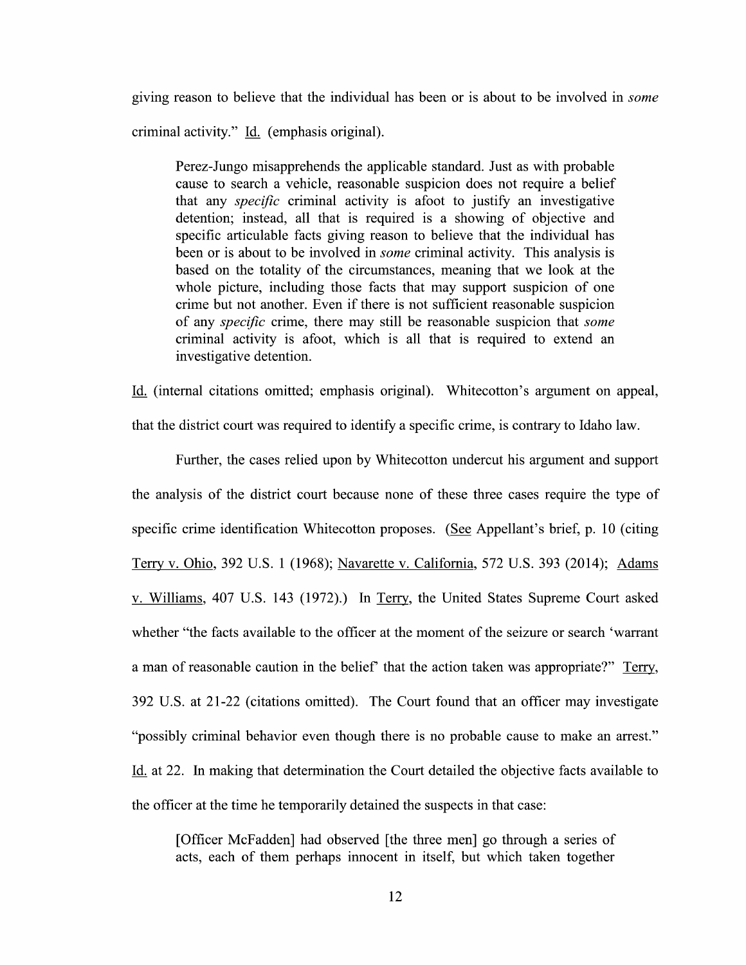giving reason to believe that the individual has been or is about to be involved in *some* criminal activity." Id. (emphasis original).

Perez-Jungo misapprehends the applicable standard. Just as with probable cause to search a vehicle, reasonable suspicion does not require a belief that any *specific* criminal activity is afoot to justify an investigative detention; instead, all that is required is a showing of objective and specific articulable facts giving reason to believe that the individual has been or is about to be involved in *some* criminal activity. This analysis is based on the totality of the circumstances, meaning that we 100k at the whole picture, including those facts that may support suspicion of one crime but not another. Even if there is not sufficient reasonable suspicion 0f any specific crime, there may still be reasonable suspicion that some criminal activity is afoot, which is all that is required to extend an investigative detention.

Li. (internal citations omitted; emphasis original). Whitecotton's argument 0n appeal,

that the district court was required to identify a specific crime, is contrary to Idaho law.

Further, the cases relied upon by Whitecotton undercut his argument and support the analysis of the district court because none of these three cases require the type of specific crime identification Whitecotton proposes. (See Appellant's brief, p. 10 (citing Terry v. Ohio, 392 U.S. 1 (1968); Navarette v. California, 572 U.S. 393 (2014); Adams v. Williams, 407 U.S. 143 (1972).) In Terry, the United States Supreme Court asked Whether "the facts available to the officer at the moment of the seizure or search 'Warrant a man of reasonable caution in the belief' that the action taken was appropriate?" Terry, 392 U.S. at 21-22 (citations omitted). The Court found that an officer may investigate "possibly criminal behavior even though there is no probable cause to make an arrest." Id. at 22. In making that determination the Court detailed the objective facts available to the officer at the time he temporarily detained the suspects in that case:

[Officer McFadden] had observed [the three men] go through a series of acts, each 0f them perhaps innocent in itself, but which taken together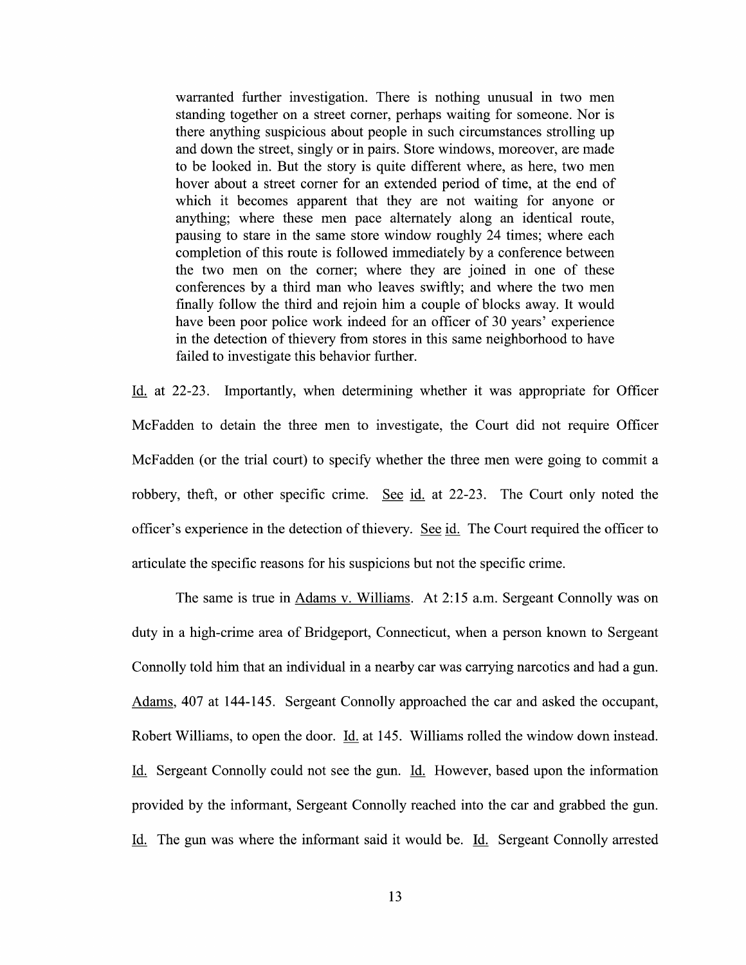warranted further investigation. There is nothing unusual in two men standing together on a street corner, perhaps waiting for someone. Nor is there anything suspicious about people in such circumstances strolling up and down the street, singly 0r in pairs. Store Windows, moreover, are made t0 be looked in. But the story is quite different Where, as here, two men hover about a street corner for an extended period of time, at the end of which it becomes apparent that they are not waiting for anyone or anything; Where these men pace alternately along an identical route, pausing to stare in the same store window roughly 24 times; where each completion of this route is followed immediately by a conference between the two men 0n the corner; where they are joined in one of these conferences by a third man who leaves swiftly; and where the two men finally follow the third and rejoin him a couple of blocks away. It would have been poor police work indeed for an officer of 30 years' experience in the detection of thievery from stores in this same neighborhood to have failed to investigate this behavior further.

Id. at 22-23. Importantly, when determining whether it was appropriate for Officer McFadden t0 detain the three men t0 investigate, the Court did not require Officer McFadden (or the trial court) to specify whether the three men were going to commit a robbery, theft, or other specific crime. See id. at 22-23. The Court only noted the officer's experience in the detection of thievery. See id. The Court required the officer to articulate the specific reasons for his suspicions but not the specific crime.

The same is true in Adams v. Williams. At 2:15 a.m. Sergeant Connolly was on duty in a high-crime area of Bridgeport, Connecticut, when a person known to Sergeant Connolly told him that an individual in a nearby car was carrying narcotics and had a gun. Adams, 407 at 144-145. Sergeant Connolly approached the car and asked the occupant, Robert Williams, to open the door. Id. at 145. Williams rolled the window down instead. Id. Sergeant Connolly could not see the gun. Id. However, based upon the information provided by the informant, Sergeant Connolly reached into the car and grabbed the gun. Li. The gun was Where the informant said it would be. Li. Sergeant Connolly arrested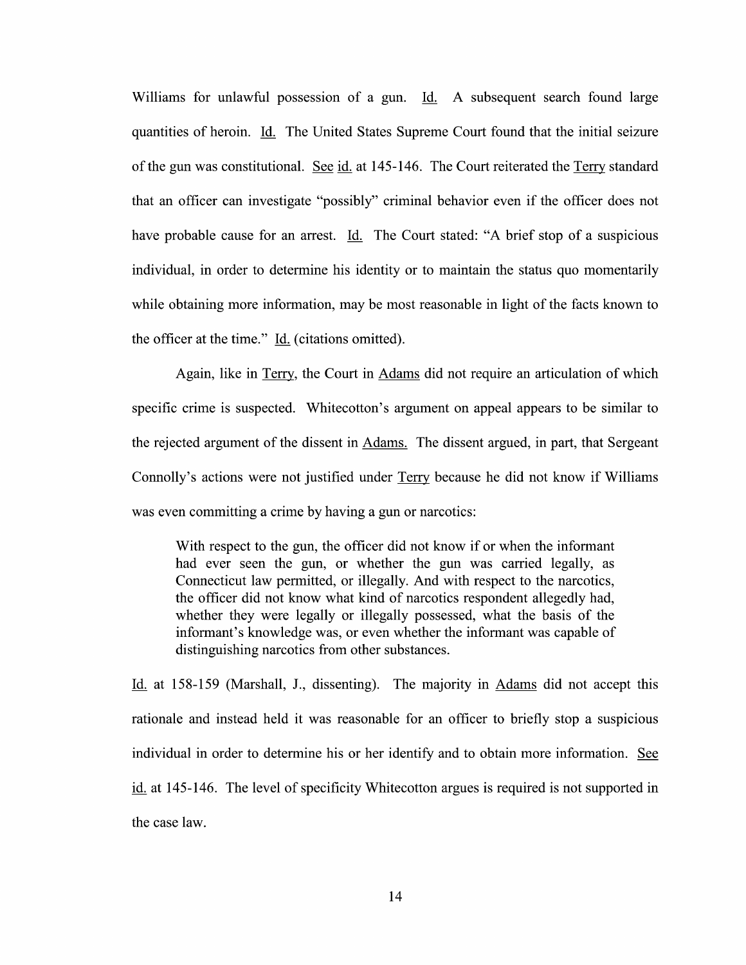Williams for unlawful possession of a gun. Id. A subsequent search found large quantities of heroin. Li The United States Supreme Court found that the initial seizure of the gun was constitutional. See id. at  $145-146$ . The Court reiterated the Terry standard that an officer can investigate "possibly" criminal behavior even if the officer does not have probable cause for an arrest. Id. The Court stated: "A brief stop of a suspicious individual, in order to determine his identity or to maintain the status quo momentarily while obtaining more information, may be most reasonable in light of the facts known to the officer at the time." Li. (citations omitted).

Again, like in Terry, the Court in Adams did not require an articulation of which specific crime is suspected. Whitecotton's argument on appeal appears to be similar to the rejected argument of the dissent in Adams. The dissent argued, in part, that Sergeant Connolly's actions were not justified under Terry because he did not know if Williams was even committing a crime by having a gun or narcotics:

With respect to the gun, the officer did not know if or when the informant had ever seen the gun, 0r Whether the gun was carried legally, as Connecticut law permitted, 0r illegally. And With respect to the narcotics, the officer did not know what kind 0f narcotics respondent allegedly had, whether they were legally or illegally possessed, what the basis of the informant's knowledge was, 0r even Whether the informant was capable of distinguishing narcotics from other substances.

Li. at 158-159 (Marshall, J., dissenting). The majority in Adams did not accept this rationale and instead held it was reasonable for an officer to briefly stop a suspicious individual in order to determine his or her identify and to obtain more information. See id. at 145-146. The level of specificity Whitecotton argues is required is not supported in the case law.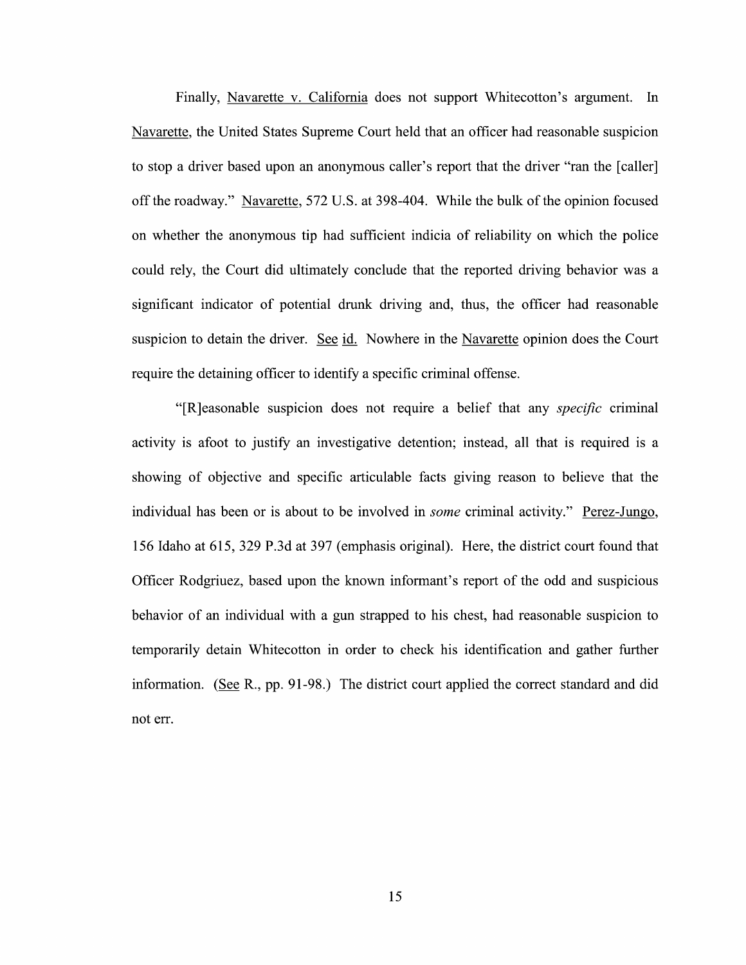Finally, Navarette v. California does not support Whitecotton's argument. In Navarette, the United States Supreme Court held that an officer had reasonable suspicion to stop a driver based upon an anonymous caller's report that the driver "ran the [caller] off the roadway." Navarette, 572 U.S. at 398-404. While the bulk 0f the opinion focused 0n whether the anonymous tip had sufficient indicia of reliability on which the police could rely, the Court did ultimately conclude that the reported driving behavior was significant indicator of potential drunk driving and, thus, the officer had reasonable suspicion to detain the driver. See id. Nowhere in the Navarette opinion does the Court require the detaining officer to identify a specific criminal offense.

"[R]easonable suspicion does not require a belief that any *specific* criminal activity is afoot to justify an investigative detention; instead, all that is required is a showing of objective and specific articulable facts giving reason to believe that the individual has been or is about to be involved in *some* criminal activity." Perez-Jungo, 156 Idaho at 615, 329 P.3d at 397 (emphasis original). Here, the district court found that Officer Rodgriuez, based upon the known informant's report of the odd and suspicious<br>behavior of an individual with a gun strapped to his chest, had reasonable suspicion to temporarily detain Whitecotton in order to check his identification and gather further information. (See R., pp. 91-98.) The district court applied the correct standard and did not err.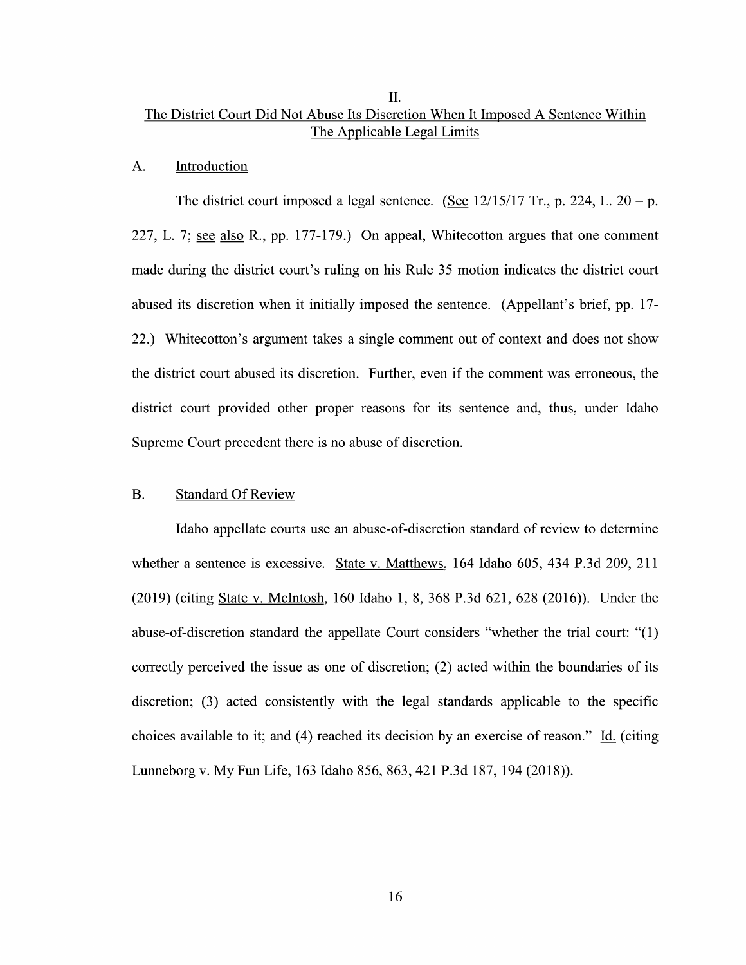### II. The District Court Did Not Abuse Its Discretion When It Imposed A Sentence Within The Applicable Legal Limits

### A. Introduction

The district court imposed a legal sentence. (See  $12/15/17$  Tr., p. 224, L. 20 – p. 227, L. 7; see also R., pp. 177-179.) On appeal, Whitecotton argues that one comment made during the district court's ruling on his Rule 35 motion indicates the district court abused its discretion When it initially imposed the sentence. (Appellant's brief, pp. 17- 22.) Whitecotton's argument takes a single comment out of context and does not show the district court abused its discretion. Further, even if the comment was erroneous, the district court provided other proper reasons for its sentence and, thus, under Idaho Supreme Court precedent there is no abuse of discretion.

### B. Standard Of Review

Idaho appellate courts use an abuse-of-discretion standard of review to determine whether a sentence is excessive. State v. Matthews, 164 Idaho 605, 434 P.3d 209, 211 (2019) (citing State V. McIntosh, 160 Idaho 1, 8, 368 P.3d 621, 628 (2016)). Under the abuse-of-discretion standard the appellate Court considers "whether the trial court:  $"(1)$ correctly perceived the issue as one of discretion; (2) acted within the boundaries of its discretion; (3) acted consistently with the legal standards applicable t0 the specific choices available to it; and (4) reached its decision by an exercise of reason." Li. (citing Lunneborg V. MV Fun Life, <sup>163</sup> Idaho 856, 863, <sup>421</sup> P.3d 187, <sup>194</sup> (2018)).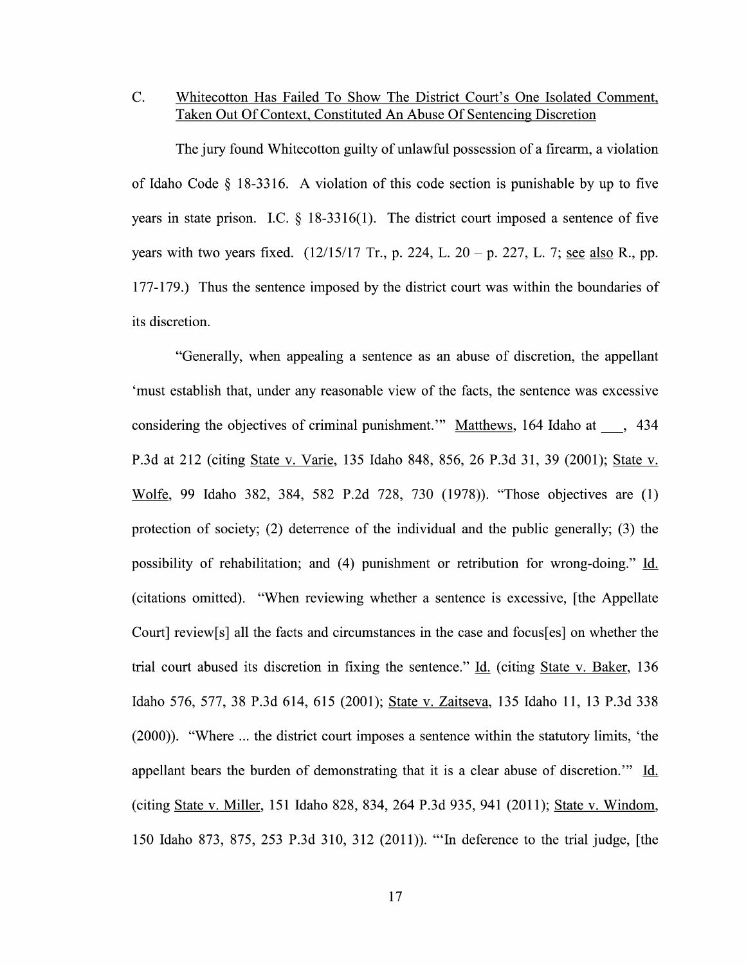### C. Whitecotton Has Failed To Show The District Court's One Isolated Comment, Taken Out Of Context, Constituted An Abuse Of Sentencing Discretion

The jury found Whitecotton guilty of unlawful possession of a firearm, a violation of Idaho Code  $\&$  18-3316. A violation of this code section is punishable by up to five years in state prison. I.C.  $\S$  18-3316(1). The district court imposed a sentence of five years with two years fixed.  $(12/15/17 \text{ Tr}$ , p. 224, L. 20 – p. 227, L. 7; see also R., pp. 177-179.) Thus the sentence imposed by the district court was within the boundaries of its discretion.

"Generally, when appealing a sentence as an abuse of discretion, the appellant 'must establish that, under any reasonable View of the facts, the sentence was excessive considering the objectives of criminal punishment." Matthews, 164 Idaho at  $\,$ , 434 P.3d at 212 (citing State v. Varie, 135 Idaho 848, 856, 26 P.3d 31, 39 (2001); State v. m, <sup>99</sup> Idaho 382, 384, <sup>582</sup> P.2d 728, <sup>730</sup> (1978)). "Those objectives are (1) protection of society; (2) deterrence of the individual and the public generally; (3) the possibility of rehabilitation; and (4) punishment or retribution for wrong-doing." Id. (citations omitted). "When reviewing whether a sentence is excessive, [the Appellate Court] review[s] all the facts and circumstances in the case and focus[es] on whether the trial court abused its discretion in fixing the sentence." Id. (citing State v. Baker, 136 Idaho 576, 577, 38 P.3d 614, 615 (2001); State v. Zaitseva, 135 Idaho 11, 13 P.3d 338  $(2000)$ ). "Where  $\ldots$  the district court imposes a sentence within the statutory limits, 'the appellant bears the burden of demonstrating that it is a clear abuse of discretion." Id. (citing State v. Miller, 151 Idaho 828, 834, 264 P.3d 935, 941 (2011); State v. Windom, 150 Idaho 873, 875, 253 P.3d 310, 312 (2011)). "'In deference t0 the trial judge, [the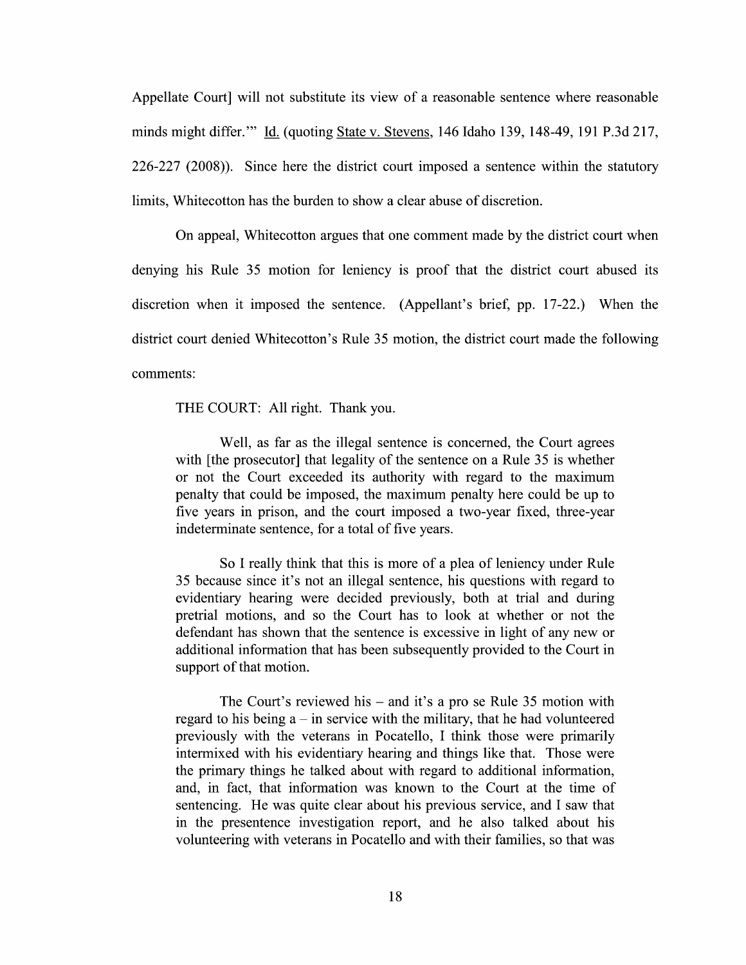Appellate Court will not substitute its view of a reasonable sentence where reasonable minds might differ."" Id. (quoting State v. Stevens, 146 Idaho 139, 148-49, 191 P.3d 217,  $226-227$  (2008)). Since here the district court imposed a sentence within the statutory limits, Whitecotton has the burden to show a clear abuse of discretion.

On appeal, Whitecotton argues that one comment made by the district court when denying his Rule 35 motion for leniency is proof that the district court abused its discretion When it imposed the sentence. (Appellant's brief, pp. 17-22.) When the district court denied Whitecotton's Rule 35 motion, the district court made the following comments:

THE COURT: A11 right. Thank you.

Well, as far as the illegal sentence is concerned, the Court agrees with [the prosecutor] that legality of the sentence on a Rule 35 is whether or not the Court exceeded its authority with regard to the maximum penalty that could be imposed, the maximum penalty here could be up to five years in prison, and the court imposed a two-year fixed, three-year indeterminate sentence, for a total of five years.

So I really think that this is more of a plea of leniency under Rule 35 because since it's not an illegal sentence, his questions with regard t0 evidentiary hearing were decided previously, both at trial and during pretrial motions, and so the Court has to 100k at Whether or not the defendant has shown that the sentence is excessive in light 0f any new or additional information that has been subsequently provided to the Court in support of that motion.

The Court's reviewed his  $-$  and it's a pro se Rule 35 motion with regard to his being  $a - in$  service with the military, that he had volunteered previously with the veterans in Pocatello, I think those were primarily intermixed with his evidentiary hearing and things like that. Those were the primary things he talked about With regard to additional information, and, in fact, that information was known to the Court at the time of sentencing. He was quite clear about his previous service, and I saw that in the presentence investigation report, and he also talked about his volunteering With veterans in Pocatello and With their families, so that was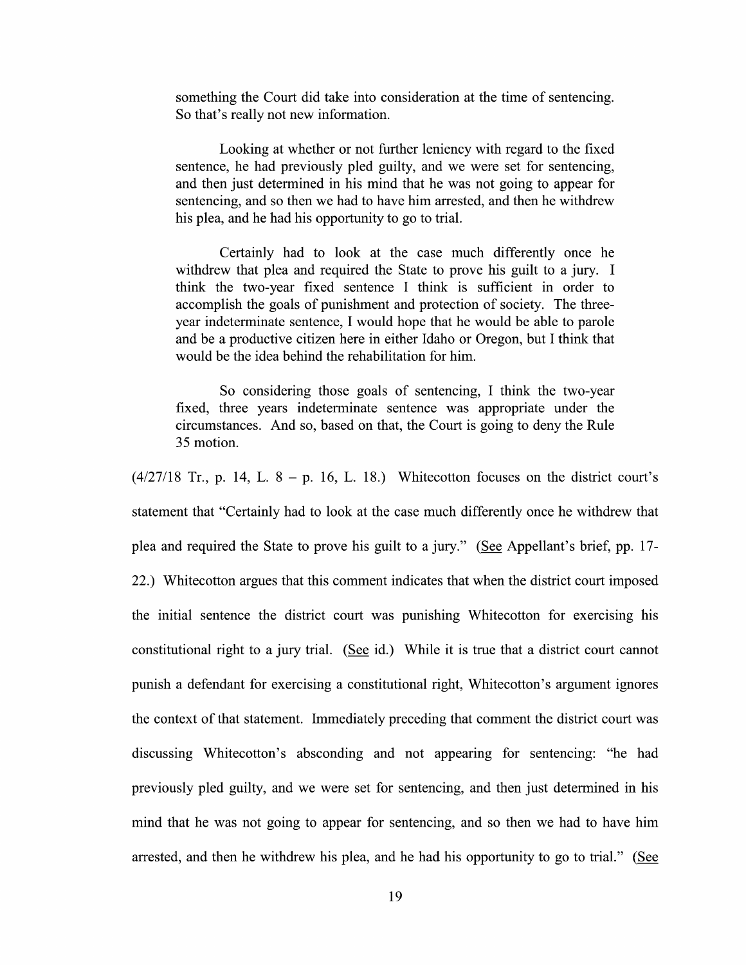something the Court did take into consideration at the time of sentencing. So that's really not new information.

Looking at whether or not further leniency with regard to the fixed sentence, he had previously pled guilty, and we were set for sentencing, and then just determined in his mind that he was not going to appear for sentencing, and so then we had to have him arrested, and then he withdrew his plea, and he had his opportunity to go to trial.

Certainly had to look at the case much differently once he withdrew that plea and required the State to prove his guilt to a jury. I think the two-year fixed sentence I think is sufficient in order to accomplish the goals 0f punishment and protection of society. The three year indeterminate sentence, I would hope that he would be able to parole and be a productive citizen here in either Idaho or Oregon, but I think that would be the idea behind the rehabilitation for him.

So considering those goals of sentencing, I think the two-year fixed, three years indeterminate sentence was appropriate under the circumstances. And so, based 0n that, the Court is going t0 deny the Rule 35 motion.

 $(4/27/18$  Tr., p. 14, L.  $8 - p$ . 16, L. 18.) Whitecotton focuses on the district court's statement that "Certainly had to look at the case much differently once he withdrew that plea and required the State to prove his guilt to a jury." (See Appellant's brief, pp. 17-22.) Whitecotton argues that this comment indicates that When the district court imposed the initial sentence the district court was punishing Whitecotton for exercising his constitutional right to a jury trial. (See id.) While it is true that a district court cannot punish a defendant for exercising a constitutional right, Whitecotton's argument ignores the context 0f that statement. Immediately preceding that comment the district court was discussing Whitecotton's absconding and not appearing for sentencing: "he had previously pled guilty, and we were set for sentencing, and then just determined in his mind that he was not going to appear for sentencing, and so then we had to have him arrested, and then he withdrew his plea, and he had his opportunity to go to trial." (See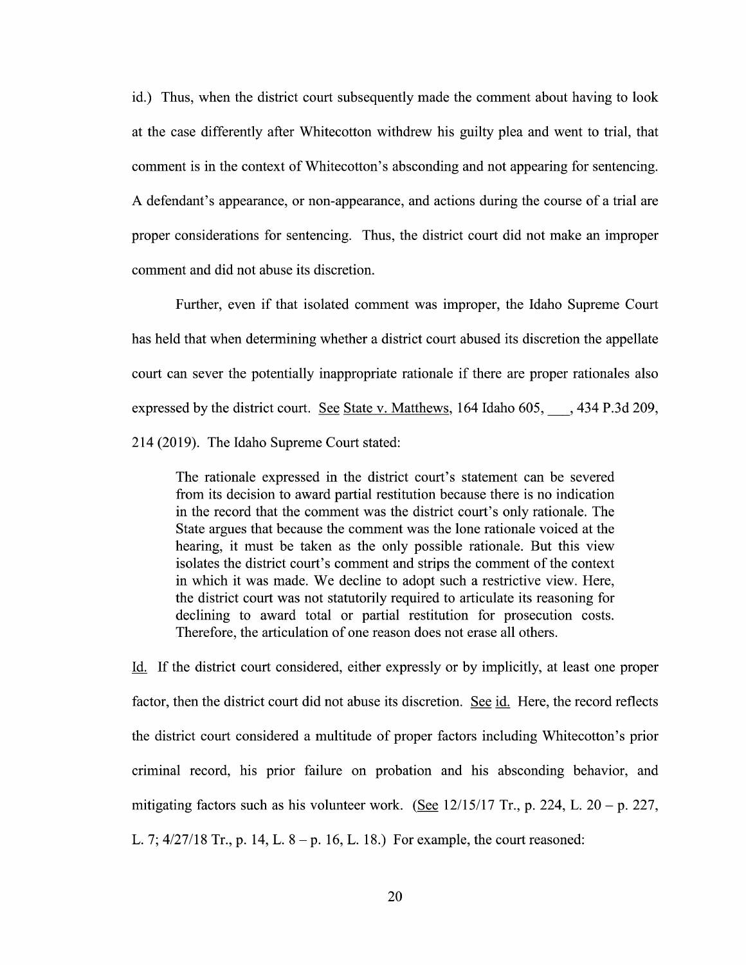id.) Thus, when the district court subsequently made the comment about having to look at the case differently after Whitecotton withdrew his guilty plea and went to trial, that comment is in the context 0f Whitecotton's absconding and not appearing for sentencing. A defendant's appearance, or non-appearance, and actions during the course of a trial are proper considerations for sentencing. Thus, the district court did not make an improper comment and did not abuse its discretion.

Further, even if that isolated comment was improper, the Idaho Supreme Court has held that when determining whether a district court abused its discretion the appellate court can sever the potentially inappropriate rationale if there are proper rationales also expressed by the district court. See State v. Matthews, 164 Idaho  $605, \ldots, 434$  P.3d 209, 214 (2019). The Idaho Supreme Court stated:

The rationale expressed in the district court's statement can be severed from its decision to award partial restitution because there is no indication in the record that the comment was the district court's only rationale. The State argues that because the comment was the lone rationale voiced at the hearing, it must be taken as the only possible rationale. But this view isolates the district court's comment and strips the comment of the context in which it was made. We decline to adopt such a restrictive view. Here, the district court was not statutorily required to articulate its reasoning for declining to award total or partial restitution for prosecution costs. Therefore, the articulation of one reason does not erase all others.

Li. If the district court considered, either expressly or by implicitly, at least one proper factor, then the district court did not abuse its discretion. See id. Here, the record reflects the district court considered multitude of proper factors including Whitecotton's prior criminal record, his prior failure on probation and his absconding behavior, and mitigating factors such as his volunteer work. (See 12/15/17 Tr., p. 224, L. 20 – p. 227, L. 7;  $4/27/18$  Tr., p. 14, L.  $8-p$ . 16, L. 18.) For example, the court reasoned: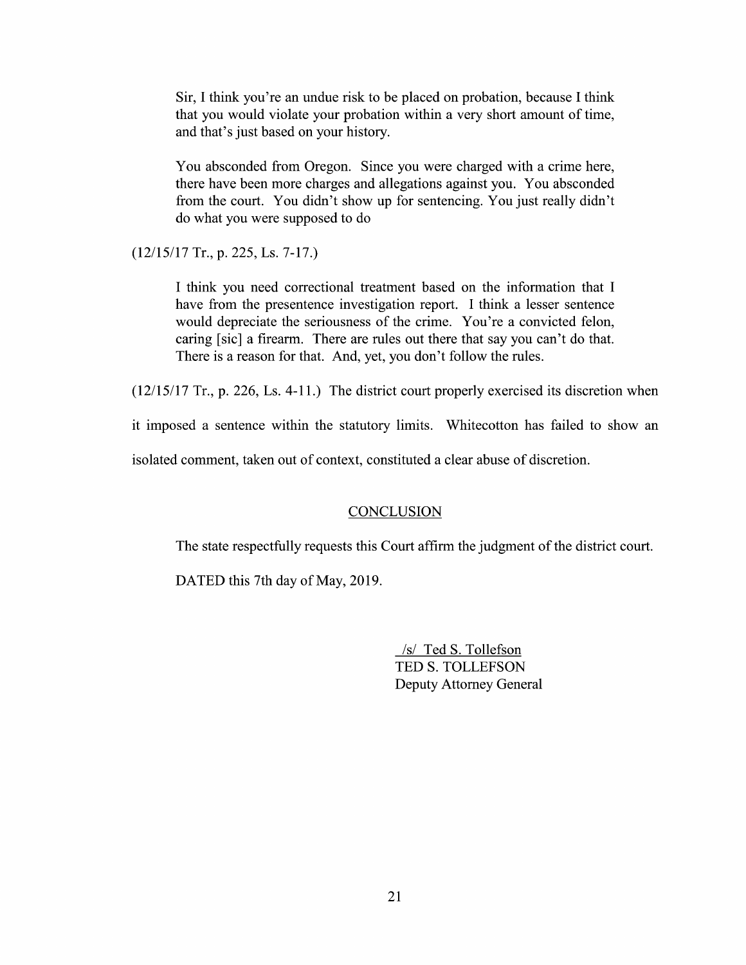Sir, I think you're an undue risk to be placed on probation, because I think that you would violate your probation within a very short amount of time, and that's just based on your history.

You absconded from Oregon. Since you were charged with a crime here, there have been more charges and allegations against you. You absconded from the court. You didn't show up for sentencing. You just really didn't do what you were supposed t0 d0

 $(12/15/17$  Tr., p. 225, Ls. 7-17.)

I think you need correctional treatment based on the information that I have from the presentence investigation report. I think a lesser sentence would depreciate the seriousness of the crime. You're a convicted felon, caring [sic] a firearm. There are rules out there that say you can't do that. There is a reason for that. And, yet, you don't follow the rules.

 $(12/15/17$  Tr., p. 226, Ls. 4-11.) The district court properly exercised its discretion when

it imposed a sentence within the statutory limits. Whitecotton has failed to show an

isolated comment, taken out of context, constituted a clear abuse of discretion.

### **CONCLUSION**

The state respectfully requests this Court affirm the judgment of the district court.

DATED this 7th day of May, 2019.

/s/ Ted S. Tollefson TED S. TOLLEFSON Deputy Attorney General